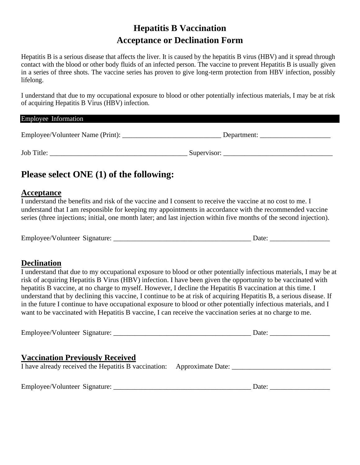# **Hepatitis B Vaccination Acceptance or Declination Form**

Hepatitis B is a serious disease that affects the liver. It is caused by the hepatitis B virus (HBV) and it spread through contact with the blood or other body fluids of an infected person. The vaccine to prevent Hepatitis B is usually given in a series of three shots. The vaccine series has proven to give long-term protection from HBV infection, possibly lifelong.

I understand that due to my occupational exposure to blood or other potentially infectious materials, I may be at risk of acquiring Hepatitis B Virus (HBV) infection.

| Employee Information             |             |
|----------------------------------|-------------|
| Employee/Volunteer Name (Print): | Department: |
| Job Title:                       | Supervisor: |

## **Please select ONE (1) of the following:**

#### **Acceptance**

I understand the benefits and risk of the vaccine and I consent to receive the vaccine at no cost to me. I understand that I am responsible for keeping my appointments in accordance with the recommended vaccine series (three injections; initial, one month later; and last injection within five months of the second injection).

| Employee/Volunteer Signature: |  | Date <sup>-</sup> |  |
|-------------------------------|--|-------------------|--|
|                               |  |                   |  |

#### **Declination**

I understand that due to my occupational exposure to blood or other potentially infectious materials, I may be at risk of acquiring Hepatitis B Virus (HBV) infection. I have been given the opportunity to be vaccinated with hepatitis B vaccine, at no charge to myself. However, I decline the Hepatitis B vaccination at this time. I understand that by declining this vaccine, I continue to be at risk of acquiring Hepatitis B, a serious disease. If in the future I continue to have occupational exposure to blood or other potentially infectious materials, and I want to be vaccinated with Hepatitis B vaccine, I can receive the vaccination series at no charge to me.

| Employee/Volunteer Signature:          | Date: $\qquad \qquad$ |
|----------------------------------------|-----------------------|
| <b>Vaccination Previously Received</b> |                       |
| Employee/Volunteer Signature:          | Date:                 |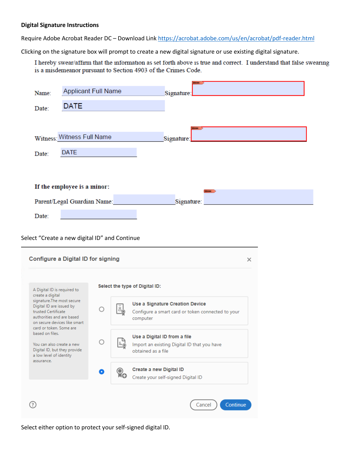#### **Digital Signature Instructions**

Require Adobe Acrobat Reader DC – Download Link <https://acrobat.adobe.com/us/en/acrobat/pdf-reader.html>

Clicking on the signature box will prompt to create a new digital signature or use existing digital signature.

I hereby swear/affirm that the information as set forth above is true and correct. I understand that false swearing is a misdemeanor pursuant to Section 4903 of the Crimes Code.

| Name:                                                     | <b>Applicant Full Name</b>                    |   |                                                                            |                    |   |
|-----------------------------------------------------------|-----------------------------------------------|---|----------------------------------------------------------------------------|--------------------|---|
|                                                           |                                               |   | Signature:                                                                 |                    |   |
| Date:                                                     | <b>DATE</b>                                   |   |                                                                            |                    |   |
|                                                           |                                               |   |                                                                            |                    |   |
|                                                           |                                               |   |                                                                            |                    |   |
|                                                           | Witness: Witness Full Name                    |   | Signature:                                                                 |                    |   |
| Date:                                                     | <b>DATE</b>                                   |   |                                                                            |                    |   |
|                                                           |                                               |   |                                                                            |                    |   |
|                                                           |                                               |   |                                                                            |                    |   |
|                                                           | If the employee is a minor:                   |   |                                                                            |                    |   |
|                                                           | Parent/Legal Guardian Name:                   |   |                                                                            | Signature:         |   |
| Date:                                                     |                                               |   |                                                                            |                    |   |
|                                                           |                                               |   |                                                                            |                    |   |
|                                                           | Select "Create a new digital ID" and Continue |   |                                                                            |                    |   |
|                                                           |                                               |   |                                                                            |                    |   |
|                                                           | Configure a Digital ID for signing            |   |                                                                            |                    | × |
|                                                           |                                               |   |                                                                            |                    |   |
|                                                           |                                               |   |                                                                            |                    |   |
| A Digital ID is required to<br>create a digital           |                                               |   | Select the type of Digital ID:                                             |                    |   |
| signature.The most secure<br>Digital ID are issued by     |                                               |   | Use a Signature Creation Device                                            |                    |   |
| trusted Certificate<br>authorities and are based          |                                               | ∩ | Configure a smart card or token connected to your                          |                    |   |
| on secure devices like smart<br>card or token. Some are   |                                               |   | computer                                                                   |                    |   |
| based on files.                                           |                                               |   | Use a Digital ID from a file<br>$\Box$                                     |                    |   |
| You can also create a new<br>Digital ID, but they provide |                                               | ∩ | Import an existing Digital ID that you have<br>$\mu$<br>obtained as a file |                    |   |
| a low level of identity<br>assurance.                     |                                               |   |                                                                            |                    |   |
|                                                           |                                               |   | Create a new Digital ID                                                    |                    |   |
|                                                           |                                               |   | Ю<br>Create your self-signed Digital ID                                    |                    |   |
|                                                           |                                               |   |                                                                            |                    |   |
|                                                           |                                               |   |                                                                            | Continue<br>Cancel |   |
|                                                           |                                               |   |                                                                            |                    |   |

Select either option to protect your self-signed digital ID.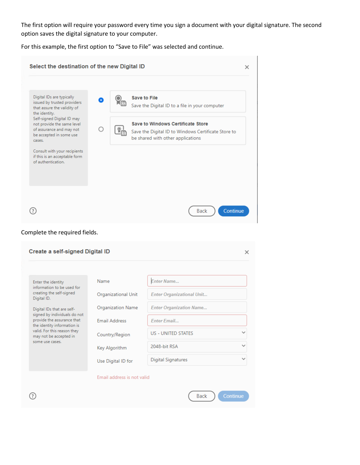The first option will require your password every time you sign a document with your digital signature. The second option saves the digital signature to your computer.

For this example, the first option to "Save to File" was selected and continue.

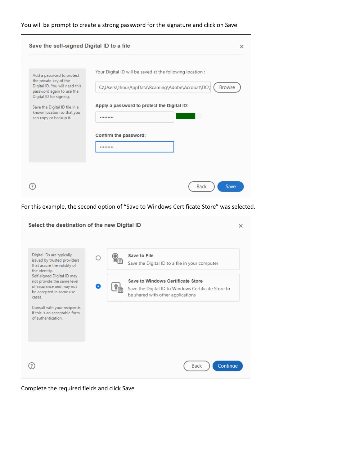### You will be prompt to create a strong password for the signature and click on Save

| Save the self-signed Digital ID to a file                                                                                                                                                                                              | $\times$                                                                                                                                                                                                     |
|----------------------------------------------------------------------------------------------------------------------------------------------------------------------------------------------------------------------------------------|--------------------------------------------------------------------------------------------------------------------------------------------------------------------------------------------------------------|
| Add a password to protect<br>the private key of the<br>Digital ID. You will need this<br>password again to use the<br>Digital ID for signing.<br>Save the Digital ID file in a<br>known location so that you<br>can copy or backup it. | Your Digital ID will be saved at the following location:<br>C:\Users\zhou\AppData\Roaming\Adobe\Acrobat\DC\<br><b>Browse</b><br>Apply a password to protect the Digital ID:<br><br>Confirm the password:<br> |
|                                                                                                                                                                                                                                        | <b>Back</b><br>Save                                                                                                                                                                                          |

For this example, the second option of "Save to Windows Certificate Store" was selected.

| Select the destination of the new Digital ID                                                                                                                                                                                                                          |   |                                                                                                                                                                                                               | $\times$ |
|-----------------------------------------------------------------------------------------------------------------------------------------------------------------------------------------------------------------------------------------------------------------------|---|---------------------------------------------------------------------------------------------------------------------------------------------------------------------------------------------------------------|----------|
| Digital IDs are typically<br>issued by trusted providers<br>that assure the validity of<br>the identity.<br>Self-signed Digital ID may<br>not provide the same level<br>of assurance and may not<br>be accepted in some use<br>cases.<br>Consult with your recipients | n | <b>Save to File</b><br>Save the Digital ID to a file in your computer<br><b>Save to Windows Certificate Store</b><br>Save the Digital ID to Windows Certificate Store to<br>be shared with other applications |          |
| if this is an acceptable form<br>of authentication.                                                                                                                                                                                                                   |   | Continue<br>Back                                                                                                                                                                                              |          |

Complete the required fields and click Save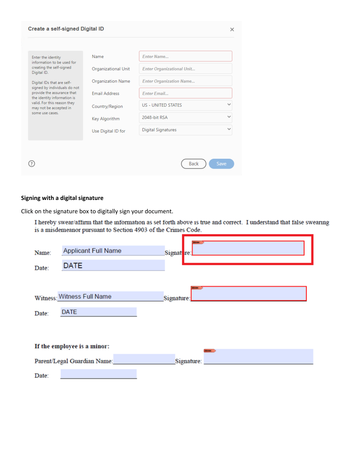| Create a self-signed Digital ID                                                                                                                                                         |                                                                          |                                                                                                               |      |
|-----------------------------------------------------------------------------------------------------------------------------------------------------------------------------------------|--------------------------------------------------------------------------|---------------------------------------------------------------------------------------------------------------|------|
| Enter the identity<br>information to be used for<br>creating the self-signed<br>Digital ID.<br>Digital IDs that are self-<br>signed by individuals do not<br>provide the assurance that | Name<br>Organizational Unit<br>Organization Name<br><b>Email Address</b> | <b>Enter Name</b><br><b>Enter Organizational Unit</b><br><b>Enter Organization Name</b><br><b>Enter Email</b> |      |
| the identity information is<br>valid. For this reason they<br>may not be accepted in<br>some use cases.                                                                                 | Country/Region<br>Key Algorithm                                          | <b>US - UNITED STATES</b><br>2048-bit RSA                                                                     |      |
|                                                                                                                                                                                         | Use Digital ID for                                                       | <b>Digital Signatures</b>                                                                                     |      |
|                                                                                                                                                                                         |                                                                          |                                                                                                               |      |
|                                                                                                                                                                                         |                                                                          | <b>Back</b>                                                                                                   | Save |

### **Signing with a digital signature**

Click on the signature box to digitally sign your document.

I hereby swear/affirm that the information as set forth above is true and correct. I understand that false swearing is a misdemeanor pursuant to Section 4903 of the Crimes Code.

۷

| Name:<br>Date: | <b>Applicant Full Name</b><br><b>DATE</b> | Signat re:   |
|----------------|-------------------------------------------|--------------|
|                | Witness: Witness Full Name                | Signature:   |
| Date:          | <b>DATE</b>                               |              |
|                | If the employee is a minor:               | <b>STATE</b> |
|                | Parent/Legal Guardian Name:               | Signature:   |
| Date:          |                                           |              |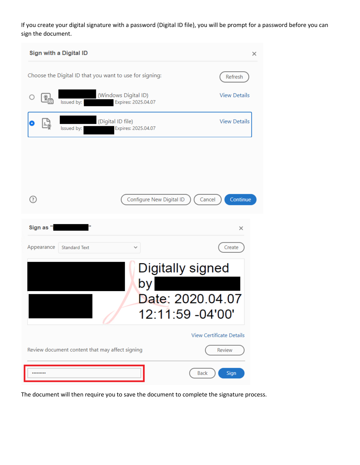If you create your digital signature with a password (Digital ID file), you will be prompt for a password before you can sign the document.

| Sign with a Digital ID<br>×                                                                    |                                                |  |  |  |
|------------------------------------------------------------------------------------------------|------------------------------------------------|--|--|--|
| Choose the Digital ID that you want to use for signing:                                        | Refresh                                        |  |  |  |
| (Windows Digital ID)<br>$\frac{\mathbb{Q}}{\mathbb{E}}$<br>Issued by: I<br>Expires: 2025.04.07 | <b>View Details</b>                            |  |  |  |
| (Digital ID file)<br>Issued by:<br>Expires: 2025.04.07                                         | <b>View Details</b>                            |  |  |  |
|                                                                                                |                                                |  |  |  |
|                                                                                                |                                                |  |  |  |
| 3                                                                                              | Continue<br>Configure New Digital ID<br>Cancel |  |  |  |
| Ħ<br>Sign as "I                                                                                | $\times$                                       |  |  |  |
| Appearance<br><b>Standard Text</b>                                                             | Create                                         |  |  |  |
| Digitally signed<br>by                                                                         |                                                |  |  |  |
|                                                                                                | Date: 2020.04.07<br>12:11:59 -04'00'           |  |  |  |
|                                                                                                | <b>View Certificate Details</b>                |  |  |  |
| Review document content that may affect signing                                                | Review                                         |  |  |  |
|                                                                                                |                                                |  |  |  |

The document will then require you to save the document to complete the signature process.